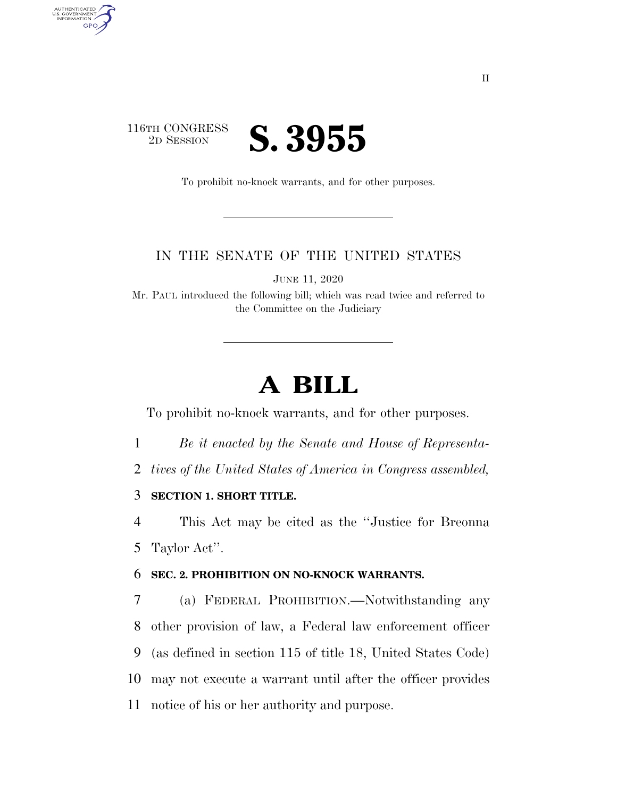## 116TH CONGRESS<br>2D SESSION 2D SESSION **S. 3955**

AUTHENTICATED<br>U.S. GOVERNMENT<br>INFORMATION

GPO

To prohibit no-knock warrants, and for other purposes.

## IN THE SENATE OF THE UNITED STATES

JUNE 11, 2020

Mr. PAUL introduced the following bill; which was read twice and referred to the Committee on the Judiciary

## **A BILL**

To prohibit no-knock warrants, and for other purposes.

- 1 *Be it enacted by the Senate and House of Representa-*
- 2 *tives of the United States of America in Congress assembled,*

3 **SECTION 1. SHORT TITLE.** 

4 This Act may be cited as the ''Justice for Breonna 5 Taylor Act''.

## 6 **SEC. 2. PROHIBITION ON NO-KNOCK WARRANTS.**

 (a) FEDERAL PROHIBITION.—Notwithstanding any other provision of law, a Federal law enforcement officer (as defined in section 115 of title 18, United States Code) may not execute a warrant until after the officer provides notice of his or her authority and purpose.